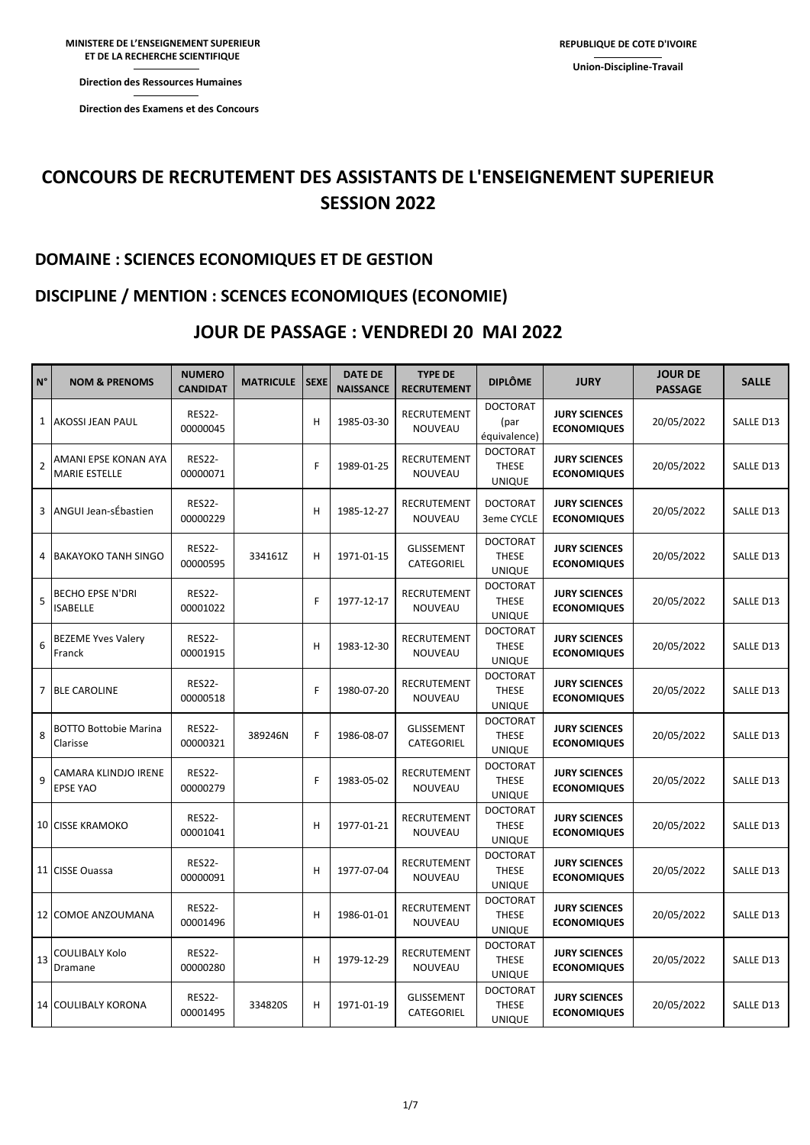**Direction des Ressources Humaines** 

**Direction des Examens et des Concours** 

## **CONCOURS DE RECRUTEMENT DES ASSISTANTS DE L'ENSEIGNEMENT SUPERIEUR SESSION 2022**

### **DOMAINE : SCIENCES ECONOMIQUES ET DE GESTION**

### **DISCIPLINE / MENTION : SCENCES ECONOMIQUES (ECONOMIE)**

### **JOUR DE PASSAGE : VENDREDI 20 MAI 2022**

| $N^{\circ}$    | <b>NOM &amp; PRENOMS</b>                     | <b>NUMERO</b><br><b>CANDIDAT</b> | <b>MATRICULE</b> | <b>SEXE</b> | <b>DATE DE</b><br><b>NAISSANCE</b> | <b>TYPE DE</b><br><b>RECRUTEMENT</b> | <b>DIPLÔME</b>                                   | <b>JURY</b>                                | <b>JOUR DE</b><br><b>PASSAGE</b> | <b>SALLE</b> |
|----------------|----------------------------------------------|----------------------------------|------------------|-------------|------------------------------------|--------------------------------------|--------------------------------------------------|--------------------------------------------|----------------------------------|--------------|
|                | 1 AKOSSI JEAN PAUL                           | <b>RES22-</b><br>00000045        |                  | H           | 1985-03-30                         | <b>RECRUTEMENT</b><br>NOUVEAU        | <b>DOCTORAT</b><br>(par<br>équivalence)          | <b>JURY SCIENCES</b><br><b>ECONOMIQUES</b> | 20/05/2022                       | SALLE D13    |
| $\overline{2}$ | AMANI EPSE KONAN AYA<br><b>MARIE ESTELLE</b> | <b>RES22-</b><br>00000071        |                  | F           | 1989-01-25                         | RECRUTEMENT<br>NOUVEAU               | <b>DOCTORAT</b><br><b>THESE</b><br>UNIQUE        | <b>JURY SCIENCES</b><br><b>ECONOMIQUES</b> | 20/05/2022                       | SALLE D13    |
| 3              | ANGUI Jean-sÉbastien                         | <b>RES22-</b><br>00000229        |                  | H           | 1985-12-27                         | RECRUTEMENT<br>NOUVEAU               | <b>DOCTORAT</b><br>3eme CYCLE                    | <b>JURY SCIENCES</b><br><b>ECONOMIQUES</b> | 20/05/2022                       | SALLE D13    |
| 4              | <b>BAKAYOKO TANH SINGO</b>                   | <b>RES22-</b><br>00000595        | 334161Z          | H           | 1971-01-15                         | <b>GLISSEMENT</b><br>CATEGORIEL      | <b>DOCTORAT</b><br><b>THESE</b><br><b>UNIQUE</b> | <b>JURY SCIENCES</b><br><b>ECONOMIQUES</b> | 20/05/2022                       | SALLE D13    |
| 5              | BECHO EPSE N'DRI<br><b>ISABELLE</b>          | <b>RES22-</b><br>00001022        |                  | F           | 1977-12-17                         | RECRUTEMENT<br>NOUVEAU               | <b>DOCTORAT</b><br><b>THESE</b><br><b>UNIQUE</b> | <b>JURY SCIENCES</b><br><b>ECONOMIQUES</b> | 20/05/2022                       | SALLE D13    |
| 6              | <b>BEZEME Yves Valery</b><br>Franck          | <b>RES22-</b><br>00001915        |                  | H           | 1983-12-30                         | RECRUTEMENT<br>NOUVEAU               | <b>DOCTORAT</b><br><b>THESE</b><br><b>UNIQUE</b> | <b>JURY SCIENCES</b><br><b>ECONOMIQUES</b> | 20/05/2022                       | SALLE D13    |
|                | 7 BLE CAROLINE                               | <b>RES22-</b><br>00000518        |                  | F           | 1980-07-20                         | RECRUTEMENT<br>NOUVEAU               | <b>DOCTORAT</b><br><b>THESE</b><br><b>UNIQUE</b> | <b>JURY SCIENCES</b><br><b>ECONOMIQUES</b> | 20/05/2022                       | SALLE D13    |
| 8              | <b>BOTTO Bottobie Marina</b><br>Clarisse     | <b>RES22-</b><br>00000321        | 389246N          | F           | 1986-08-07                         | <b>GLISSEMENT</b><br>CATEGORIEL      | <b>DOCTORAT</b><br><b>THESE</b><br><b>UNIQUE</b> | <b>JURY SCIENCES</b><br><b>ECONOMIQUES</b> | 20/05/2022                       | SALLE D13    |
| 9              | CAMARA KLINDJO IRENE<br><b>EPSE YAO</b>      | <b>RES22-</b><br>00000279        |                  | F           | 1983-05-02                         | RECRUTEMENT<br>NOUVEAU               | <b>DOCTORAT</b><br><b>THESE</b><br><b>UNIQUE</b> | <b>JURY SCIENCES</b><br><b>ECONOMIQUES</b> | 20/05/2022                       | SALLE D13    |
|                | <b>10 CISSE KRAMOKO</b>                      | <b>RES22-</b><br>00001041        |                  | H           | 1977-01-21                         | RECRUTEMENT<br>NOUVEAU               | <b>DOCTORAT</b><br><b>THESE</b><br><b>UNIQUE</b> | <b>JURY SCIENCES</b><br><b>ECONOMIQUES</b> | 20/05/2022                       | SALLE D13    |
|                | 11 CISSE Ouassa                              | <b>RES22-</b><br>00000091        |                  | H           | 1977-07-04                         | RECRUTEMENT<br>NOUVEAU               | <b>DOCTORAT</b><br><b>THESE</b><br><b>UNIQUE</b> | <b>JURY SCIENCES</b><br><b>ECONOMIQUES</b> | 20/05/2022                       | SALLE D13    |
|                | 12 COMOE ANZOUMANA                           | <b>RES22-</b><br>00001496        |                  | H           | 1986-01-01                         | RECRUTEMENT<br>NOUVEAU               | <b>DOCTORAT</b><br><b>THESE</b><br><b>UNIQUE</b> | <b>JURY SCIENCES</b><br><b>ECONOMIQUES</b> | 20/05/2022                       | SALLE D13    |
| 13             | COULIBALY Kolo<br>Dramane                    | <b>RES22-</b><br>00000280        |                  | H           | 1979-12-29                         | RECRUTEMENT<br>NOUVEAU               | <b>DOCTORAT</b><br>THESE<br><b>UNIQUE</b>        | <b>JURY SCIENCES</b><br><b>ECONOMIQUES</b> | 20/05/2022                       | SALLE D13    |
|                | 14 COULIBALY KORONA                          | <b>RES22-</b><br>00001495        | 334820S          | H           | 1971-01-19                         | <b>GLISSEMENT</b><br>CATEGORIEL      | <b>DOCTORAT</b><br>THESE<br><b>UNIQUE</b>        | <b>JURY SCIENCES</b><br><b>ECONOMIQUES</b> | 20/05/2022                       | SALLE D13    |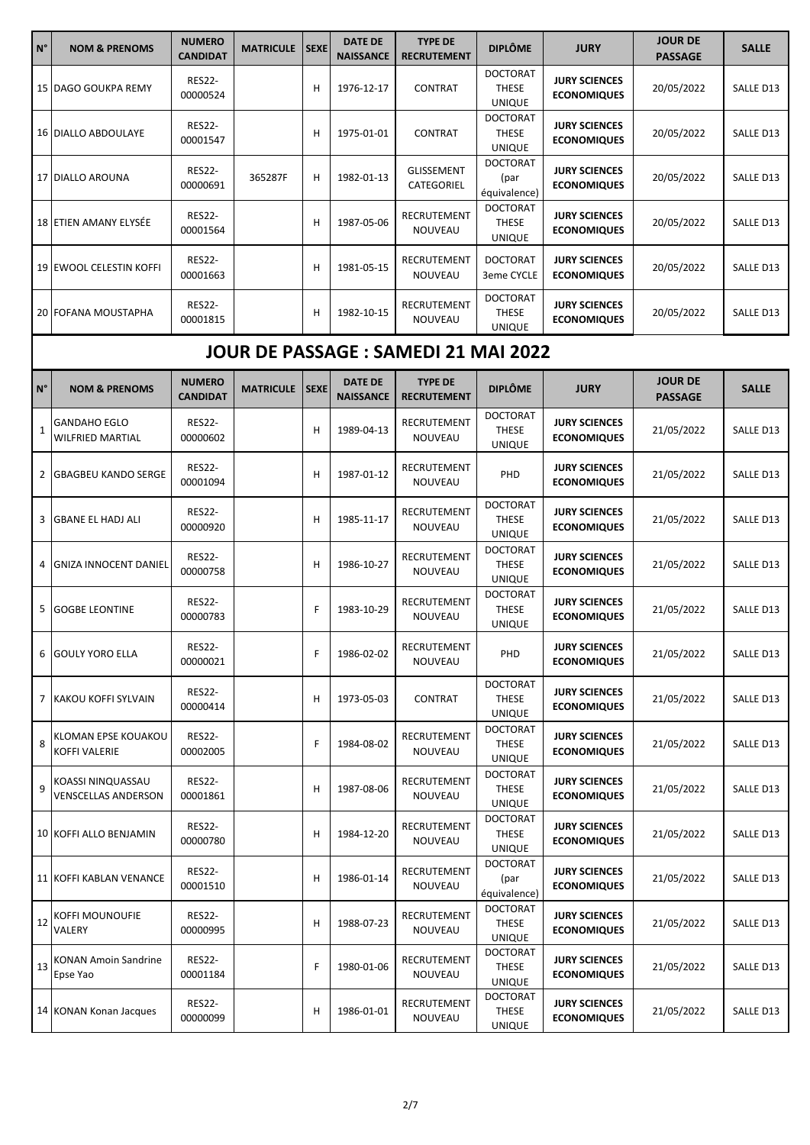| $N^{\circ}$  | <b>NOM &amp; PRENOMS</b>                 | <b>NUMERO</b><br><b>CANDIDAT</b> | <b>MATRICULE</b> | <b>SEXE</b> | <b>DATE DE</b><br><b>NAISSANCE</b> | <b>TYPE DE</b><br><b>RECRUTEMENT</b> | <b>DIPLÔME</b>                                   | <b>JURY</b>                                | <b>JOUR DE</b><br><b>PASSAGE</b> | <b>SALLE</b> |
|--------------|------------------------------------------|----------------------------------|------------------|-------------|------------------------------------|--------------------------------------|--------------------------------------------------|--------------------------------------------|----------------------------------|--------------|
|              | 15 DAGO GOUKPA REMY                      | <b>RES22-</b><br>00000524        |                  | Н           | 1976-12-17                         | <b>CONTRAT</b>                       | <b>DOCTORAT</b><br><b>THESE</b><br><b>UNIQUE</b> | <b>JURY SCIENCES</b><br><b>ECONOMIQUES</b> | 20/05/2022                       | SALLE D13    |
|              | <b>16 DIALLO ABDOULAYE</b>               | <b>RES22-</b><br>00001547        |                  | Н           | 1975-01-01                         | <b>CONTRAT</b>                       | <b>DOCTORAT</b><br><b>THESE</b><br><b>UNIQUE</b> | <b>JURY SCIENCES</b><br><b>ECONOMIQUES</b> | 20/05/2022                       | SALLE D13    |
|              | 17 DIALLO AROUNA                         | <b>RES22-</b><br>00000691        | 365287F          | Н           | 1982-01-13                         | <b>GLISSEMENT</b><br>CATEGORIEL      | <b>DOCTORAT</b><br>(par<br>équivalence)          | <b>JURY SCIENCES</b><br><b>ECONOMIQUES</b> | 20/05/2022                       | SALLE D13    |
|              | 18 ETIEN AMANY ELYSÉE                    | <b>RES22-</b><br>00001564        |                  | Н           | 1987-05-06                         | RECRUTEMENT<br>NOUVEAU               | <b>DOCTORAT</b><br><b>THESE</b><br><b>UNIQUE</b> | <b>JURY SCIENCES</b><br><b>ECONOMIQUES</b> | 20/05/2022                       | SALLE D13    |
|              | 19 EWOOL CELESTIN KOFFI                  | <b>RES22-</b><br>00001663        |                  | Н           | 1981-05-15                         | RECRUTEMENT<br>NOUVEAU               | <b>DOCTORAT</b><br>3eme CYCLE                    | <b>JURY SCIENCES</b><br><b>ECONOMIQUES</b> | 20/05/2022                       | SALLE D13    |
|              | 20 FOFANA MOUSTAPHA                      | <b>RES22-</b><br>00001815        |                  | Н           | 1982-10-15                         | <b>RECRUTEMENT</b><br>NOUVEAU        | <b>DOCTORAT</b><br><b>THESE</b><br><b>UNIQUE</b> | <b>JURY SCIENCES</b><br><b>ECONOMIQUES</b> | 20/05/2022                       | SALLE D13    |
|              |                                          |                                  |                  |             |                                    |                                      |                                                  |                                            |                                  |              |
| $N^{\circ}$  | <b>NOM &amp; PRENOMS</b>                 | <b>NUMERO</b><br><b>CANDIDAT</b> | <b>MATRICULE</b> | <b>SEXE</b> | <b>DATE DE</b><br><b>NAISSANCE</b> | <b>TYPE DE</b><br><b>RECRUTEMENT</b> | <b>DIPLÔME</b>                                   | <b>JURY</b>                                | <b>JOUR DE</b><br><b>PASSAGE</b> | <b>SALLE</b> |
| $\mathbf{1}$ | <b>GANDAHO EGLO</b><br>WILFRIED MARTIAL  | <b>RES22-</b><br>00000602        |                  | Н           | 1989-04-13                         | RECRUTEMENT<br>NOUVEAU               | <b>DOCTORAT</b><br><b>THESE</b><br><b>UNIQUE</b> | <b>JURY SCIENCES</b><br><b>ECONOMIQUES</b> | 21/05/2022                       | SALLE D13    |
| $\mathbf{2}$ | <b>GBAGBEU KANDO SERGE</b>               | <b>RES22-</b><br>00001094        |                  | H           | 1987-01-12                         | RECRUTEMENT<br>NOUVEAU               | PHD                                              | <b>JURY SCIENCES</b><br><b>ECONOMIQUES</b> | 21/05/2022                       | SALLE D13    |
| 3            | <b>GBANE EL HADJ ALI</b>                 | <b>RES22-</b><br>00000920        |                  | Н           | 1985-11-17                         | RECRUTEMENT<br>NOUVEAU               | <b>DOCTORAT</b><br><b>THESE</b><br><b>UNIQUE</b> | <b>JURY SCIENCES</b><br><b>ECONOMIQUES</b> | 21/05/2022                       | SALLE D13    |
| 4            | <b>GNIZA INNOCENT DANIEL</b>             | <b>RES22-</b><br>00000758        |                  | H           | 1986-10-27                         | <b>RECRUTEMENT</b><br>NOUVEAU        | <b>DOCTORAT</b><br><b>THESE</b><br><b>UNIQUE</b> | <b>JURY SCIENCES</b><br><b>ECONOMIQUES</b> | 21/05/2022                       | SALLE D13    |
| 5            | <b>GOGBE LEONTINE</b>                    | <b>RES22-</b><br>00000783        |                  | F           | 1983-10-29                         | RECRUTEMENT<br><b>NOUVEAU</b>        | <b>DOCTORAT</b><br><b>THESE</b><br><b>UNIQUE</b> | <b>JURY SCIENCES</b><br><b>ECONOMIQUES</b> | 21/05/2022                       | SALLE D13    |
| 6            | <b>GOULY YORO ELLA</b>                   | <b>RES22-</b><br>00000021        |                  | F           | 1986-02-02                         | RECRUTEMENT<br>NOUVEAU               | PHD                                              | <b>JURY SCIENCES</b><br><b>ECONOMIQUES</b> | 21/05/2022                       | SALLE D13    |
|              | 7 KAKOU KOFFI SYLVAIN                    | <b>RES22-</b><br>00000414        |                  | Н           | 1973-05-03                         | <b>CONTRAT</b>                       | <b>DOCTORAT</b><br><b>THESE</b><br><b>UNIQUE</b> | <b>JURY SCIENCES</b><br><b>ECONOMIQUES</b> | 21/05/2022                       | SALLE D13    |
| 8            | KLOMAN EPSE KOUAKOU<br>KOFFI VALERIE     | <b>RES22-</b><br>00002005        |                  | F           | 1984-08-02                         | RECRUTEMENT<br>NOUVEAU               | <b>DOCTORAT</b><br>THESE<br><b>UNIQUE</b>        | <b>JURY SCIENCES</b><br><b>ECONOMIQUES</b> | 21/05/2022                       | SALLE D13    |
| 9            | KOASSI NINQUASSAU<br>VENSCELLAS ANDERSON | <b>RES22-</b><br>00001861        |                  | Н           | 1987-08-06                         | RECRUTEMENT<br>NOUVEAU               | <b>DOCTORAT</b><br><b>THESE</b><br><b>UNIQUE</b> | <b>JURY SCIENCES</b><br><b>ECONOMIQUES</b> | 21/05/2022                       | SALLE D13    |
|              | 10 KOFFI ALLO BENJAMIN                   | <b>RES22-</b><br>00000780        |                  | Н           | 1984-12-20                         | RECRUTEMENT<br>NOUVEAU               | <b>DOCTORAT</b><br>THESE<br><b>UNIQUE</b>        | <b>JURY SCIENCES</b><br><b>ECONOMIQUES</b> | 21/05/2022                       | SALLE D13    |
|              | 11 KOFFI KABLAN VENANCE                  | <b>RES22-</b><br>00001510        |                  | Н           | 1986-01-14                         | RECRUTEMENT<br>NOUVEAU               | <b>DOCTORAT</b><br>(par<br>équivalence)          | <b>JURY SCIENCES</b><br><b>ECONOMIQUES</b> | 21/05/2022                       | SALLE D13    |
| 12           | KOFFI MOUNOUFIE<br>VALERY                | <b>RES22-</b><br>00000995        |                  | Н           | 1988-07-23                         | RECRUTEMENT<br>NOUVEAU               | <b>DOCTORAT</b><br><b>THESE</b><br><b>UNIQUE</b> | <b>JURY SCIENCES</b><br><b>ECONOMIQUES</b> | 21/05/2022                       | SALLE D13    |
| 13           | <b>KONAN Amoin Sandrine</b><br>Epse Yao  | <b>RES22-</b><br>00001184        |                  | F           | 1980-01-06                         | RECRUTEMENT<br>NOUVEAU               | <b>DOCTORAT</b><br><b>THESE</b><br><b>UNIQUE</b> | <b>JURY SCIENCES</b><br><b>ECONOMIQUES</b> | 21/05/2022                       | SALLE D13    |
|              | 14 KONAN Konan Jacques                   | <b>RES22-</b><br>00000099        |                  | н           | 1986-01-01                         | RECRUTEMENT<br>NOUVEAU               | <b>DOCTORAT</b><br>THESE<br><b>UNIQUE</b>        | <b>JURY SCIENCES</b><br><b>ECONOMIQUES</b> | 21/05/2022                       | SALLE D13    |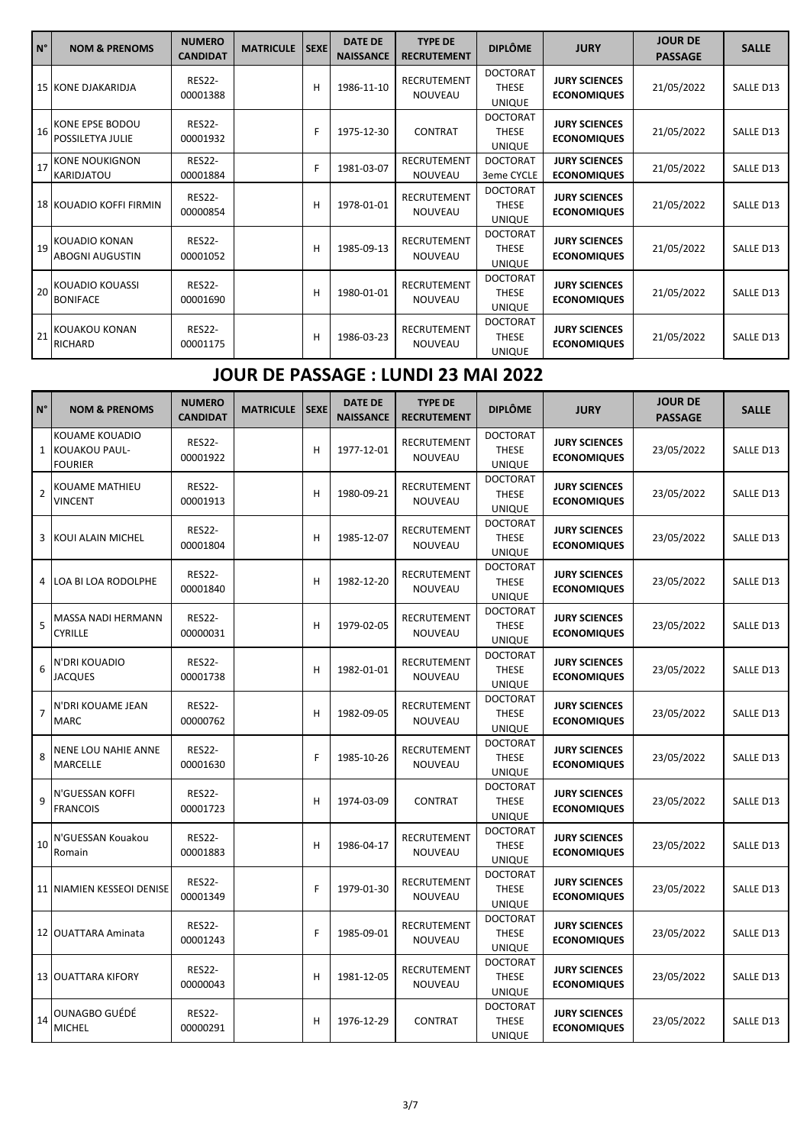| $\overline{N^{\circ}}$ | <b>NOM &amp; PRENOMS</b>                       | <b>NUMERO</b><br><b>CANDIDAT</b> | <b>MATRICULE</b> | <b>SEXE</b> | <b>DATE DE</b><br><b>NAISSANCE</b> | <b>TYPE DE</b><br><b>RECRUTEMENT</b> | <b>DIPLÔME</b>                                   | <b>JURY</b>                                | <b>JOUR DE</b><br><b>PASSAGE</b> | <b>SALLE</b> |
|------------------------|------------------------------------------------|----------------------------------|------------------|-------------|------------------------------------|--------------------------------------|--------------------------------------------------|--------------------------------------------|----------------------------------|--------------|
|                        | 15 KONE DJAKARIDJA                             | <b>RES22-</b><br>00001388        |                  | H           | 1986-11-10                         | RECRUTEMENT<br><b>NOUVEAU</b>        | <b>DOCTORAT</b><br><b>THESE</b><br><b>UNIQUE</b> | <b>JURY SCIENCES</b><br><b>ECONOMIQUES</b> | 21/05/2022                       | SALLE D13    |
| 16                     | KONE EPSE BODOU<br><b>POSSILETYA JULIE</b>     | <b>RES22-</b><br>00001932        |                  | F           | 1975-12-30                         | <b>CONTRAT</b>                       | <b>DOCTORAT</b><br><b>THESE</b><br><b>UNIQUE</b> | <b>JURY SCIENCES</b><br><b>ECONOMIQUES</b> | 21/05/2022                       | SALLE D13    |
| 17                     | <b>KONE NOUKIGNON</b><br><b>KARIDJATOU</b>     | <b>RES22-</b><br>00001884        |                  | F           | 1981-03-07                         | <b>RECRUTEMENT</b><br>NOUVEAU        | <b>DOCTORAT</b><br>3eme CYCLE                    | <b>JURY SCIENCES</b><br><b>ECONOMIQUES</b> | 21/05/2022                       | SALLE D13    |
|                        | 18 KOUADIO KOFFI FIRMIN                        | <b>RES22-</b><br>00000854        |                  | H           | 1978-01-01                         | <b>RECRUTEMENT</b><br><b>NOUVEAU</b> | <b>DOCTORAT</b><br><b>THESE</b><br><b>UNIQUE</b> | <b>JURY SCIENCES</b><br><b>ECONOMIQUES</b> | 21/05/2022                       | SALLE D13    |
| 19                     | <b>KOUADIO KONAN</b><br><b>ABOGNI AUGUSTIN</b> | <b>RES22-</b><br>00001052        |                  | Н           | 1985-09-13                         | <b>RECRUTEMENT</b><br><b>NOUVEAU</b> | <b>DOCTORAT</b><br><b>THESE</b><br><b>UNIQUE</b> | <b>JURY SCIENCES</b><br><b>ECONOMIQUES</b> | 21/05/2022                       | SALLE D13    |
| 20                     | <b>KOUADIO KOUASSI</b><br><b>BONIFACE</b>      | <b>RES22-</b><br>00001690        |                  | H           | 1980-01-01                         | <b>RECRUTEMENT</b><br><b>NOUVEAU</b> | <b>DOCTORAT</b><br><b>THESE</b><br><b>UNIQUE</b> | <b>JURY SCIENCES</b><br><b>ECONOMIQUES</b> | 21/05/2022                       | SALLE D13    |
| 21                     | <b>KOUAKOU KONAN</b><br>RICHARD                | <b>RES22-</b><br>00001175        |                  | H           | 1986-03-23                         | <b>RECRUTEMENT</b><br>NOUVEAU        | <b>DOCTORAT</b><br><b>THESE</b><br><b>UNIQUE</b> | <b>JURY SCIENCES</b><br><b>ECONOMIQUES</b> | 21/05/2022                       | SALLE D13    |

## **JOUR DE PASSAGE : LUNDI 23 MAI 2022**

| N°             | <b>NOM &amp; PRENOMS</b>                                   | <b>NUMERO</b><br><b>CANDIDAT</b> | <b>MATRICULE</b> | <b>SEXE</b> | <b>DATE DE</b><br><b>NAISSANCE</b> | <b>TYPE DE</b><br><b>RECRUTEMENT</b> | <b>DIPLÔME</b>                                   | <b>JURY</b>                                | <b>JOUR DE</b><br><b>PASSAGE</b> | <b>SALLE</b> |
|----------------|------------------------------------------------------------|----------------------------------|------------------|-------------|------------------------------------|--------------------------------------|--------------------------------------------------|--------------------------------------------|----------------------------------|--------------|
|                | <b>KOUAME KOUADIO</b><br>1 KOUAKOU PAUL-<br><b>FOURIER</b> | <b>RES22-</b><br>00001922        |                  | H           | 1977-12-01                         | RECRUTEMENT<br>NOUVEAU               | <b>DOCTORAT</b><br><b>THESE</b><br><b>UNIQUE</b> | <b>JURY SCIENCES</b><br><b>ECONOMIQUES</b> | 23/05/2022                       | SALLE D13    |
| $\overline{2}$ | <b>KOUAME MATHIEU</b><br><b>VINCENT</b>                    | <b>RES22-</b><br>00001913        |                  | н           | 1980-09-21                         | <b>RECRUTEMENT</b><br>NOUVEAU        | <b>DOCTORAT</b><br><b>THESE</b><br><b>UNIQUE</b> | <b>JURY SCIENCES</b><br><b>ECONOMIQUES</b> | 23/05/2022                       | SALLE D13    |
| 3              | KOUI ALAIN MICHEL                                          | <b>RES22-</b><br>00001804        |                  | н           | 1985-12-07                         | RECRUTEMENT<br>NOUVEAU               | <b>DOCTORAT</b><br><b>THESE</b><br><b>UNIQUE</b> | <b>JURY SCIENCES</b><br><b>ECONOMIQUES</b> | 23/05/2022                       | SALLE D13    |
| 4              | <b>LOA BI LOA RODOLPHE</b>                                 | <b>RES22-</b><br>00001840        |                  | н           | 1982-12-20                         | RECRUTEMENT<br>NOUVEAU               | <b>DOCTORAT</b><br><b>THESE</b><br><b>UNIQUE</b> | <b>JURY SCIENCES</b><br><b>ECONOMIQUES</b> | 23/05/2022                       | SALLE D13    |
| 5              | MASSA NADI HERMANN<br><b>CYRILLE</b>                       | <b>RES22-</b><br>00000031        |                  | н           | 1979-02-05                         | RECRUTEMENT<br>NOUVEAU               | <b>DOCTORAT</b><br><b>THESE</b><br><b>UNIQUE</b> | <b>JURY SCIENCES</b><br><b>ECONOMIQUES</b> | 23/05/2022                       | SALLE D13    |
| 6              | N'DRI KOUADIO<br><b>JACQUES</b>                            | <b>RES22-</b><br>00001738        |                  | н           | 1982-01-01                         | RECRUTEMENT<br>NOUVEAU               | <b>DOCTORAT</b><br><b>THESE</b><br><b>UNIQUE</b> | <b>JURY SCIENCES</b><br><b>ECONOMIQUES</b> | 23/05/2022                       | SALLE D13    |
| $\overline{7}$ | N'DRI KOUAME JEAN<br><b>MARC</b>                           | <b>RES22-</b><br>00000762        |                  | H           | 1982-09-05                         | RECRUTEMENT<br>NOUVEAU               | <b>DOCTORAT</b><br><b>THESE</b><br><b>UNIQUE</b> | <b>JURY SCIENCES</b><br><b>ECONOMIQUES</b> | 23/05/2022                       | SALLE D13    |
| 8              | NENE LOU NAHIE ANNE<br>MARCELLE                            | <b>RES22-</b><br>00001630        |                  | F           | 1985-10-26                         | RECRUTEMENT<br>NOUVEAU               | <b>DOCTORAT</b><br><b>THESE</b><br><b>UNIQUE</b> | <b>JURY SCIENCES</b><br><b>ECONOMIQUES</b> | 23/05/2022                       | SALLE D13    |
| 9              | N'GUESSAN KOFFI<br><b>FRANCOIS</b>                         | <b>RES22-</b><br>00001723        |                  | H           | 1974-03-09                         | <b>CONTRAT</b>                       | <b>DOCTORAT</b><br><b>THESE</b><br><b>UNIQUE</b> | <b>JURY SCIENCES</b><br><b>ECONOMIQUES</b> | 23/05/2022                       | SALLE D13    |
| 10             | N'GUESSAN Kouakou<br>Romain                                | <b>RES22-</b><br>00001883        |                  | н           | 1986-04-17                         | RECRUTEMENT<br>NOUVEAU               | <b>DOCTORAT</b><br><b>THESE</b><br><b>UNIQUE</b> | <b>JURY SCIENCES</b><br><b>ECONOMIQUES</b> | 23/05/2022                       | SALLE D13    |
|                | 11 NIAMIEN KESSEOI DENISE                                  | <b>RES22-</b><br>00001349        |                  | F           | 1979-01-30                         | RECRUTEMENT<br>NOUVEAU               | <b>DOCTORAT</b><br><b>THESE</b><br><b>UNIQUE</b> | <b>JURY SCIENCES</b><br><b>ECONOMIQUES</b> | 23/05/2022                       | SALLE D13    |
|                | 12 OUATTARA Aminata                                        | <b>RES22-</b><br>00001243        |                  | F           | 1985-09-01                         | RECRUTEMENT<br>NOUVEAU               | <b>DOCTORAT</b><br><b>THESE</b><br><b>UNIQUE</b> | <b>JURY SCIENCES</b><br><b>ECONOMIQUES</b> | 23/05/2022                       | SALLE D13    |
|                | 13 OUATTARA KIFORY                                         | <b>RES22-</b><br>00000043        |                  | н           | 1981-12-05                         | <b>RECRUTEMENT</b><br>NOUVEAU        | <b>DOCTORAT</b><br><b>THESE</b><br><b>UNIQUE</b> | <b>JURY SCIENCES</b><br><b>ECONOMIQUES</b> | 23/05/2022                       | SALLE D13    |
| 14             | OUNAGBO GUÉDÉ<br><b>MICHEL</b>                             | <b>RES22-</b><br>00000291        |                  | н           | 1976-12-29                         | CONTRAT                              | <b>DOCTORAT</b><br><b>THESE</b><br><b>UNIQUE</b> | <b>JURY SCIENCES</b><br><b>ECONOMIQUES</b> | 23/05/2022                       | SALLE D13    |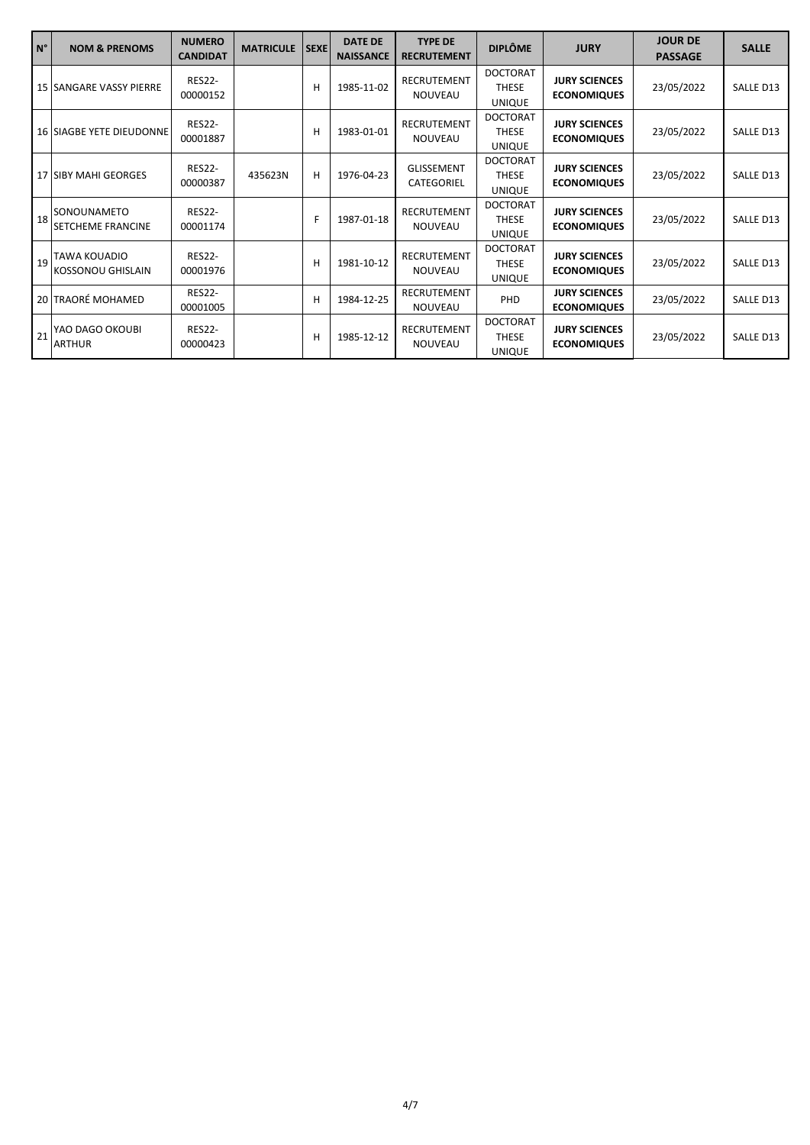| $\overline{N^{\circ}}$ | <b>NOM &amp; PRENOMS</b>                        | <b>NUMERO</b><br><b>CANDIDAT</b> | <b>MATRICULE</b> | <b>SEXE</b> | <b>DATE DE</b><br><b>NAISSANCE</b> | <b>TYPE DE</b><br><b>RECRUTEMENT</b> | <b>DIPLÔME</b>                                   | <b>JURY</b>                                | <b>JOUR DE</b><br><b>PASSAGE</b> | <b>SALLE</b> |
|------------------------|-------------------------------------------------|----------------------------------|------------------|-------------|------------------------------------|--------------------------------------|--------------------------------------------------|--------------------------------------------|----------------------------------|--------------|
|                        | <b>15 SANGARE VASSY PIERRE</b>                  | <b>RES22-</b><br>00000152        |                  | н           | 1985-11-02                         | RECRUTEMENT<br><b>NOUVEAU</b>        | <b>DOCTORAT</b><br><b>THESE</b><br><b>UNIQUE</b> | <b>JURY SCIENCES</b><br><b>ECONOMIQUES</b> | 23/05/2022                       | SALLE D13    |
|                        | <b>16 SIAGBE YETE DIEUDONNE</b>                 | <b>RES22-</b><br>00001887        |                  | н           | 1983-01-01                         | RECRUTEMENT<br><b>NOUVEAU</b>        | <b>DOCTORAT</b><br><b>THESE</b><br><b>UNIQUE</b> | <b>JURY SCIENCES</b><br><b>ECONOMIQUES</b> | 23/05/2022                       | SALLE D13    |
|                        | 17 SIBY MAHI GEORGES                            | <b>RES22-</b><br>00000387        | 435623N          | н           | 1976-04-23                         | <b>GLISSEMENT</b><br>CATEGORIEL      | <b>DOCTORAT</b><br><b>THESE</b><br><b>UNIQUE</b> | <b>JURY SCIENCES</b><br><b>ECONOMIQUES</b> | 23/05/2022                       | SALLE D13    |
|                        | 18 SONOUNAMETO<br><b>SETCHEME FRANCINE</b>      | <b>RES22-</b><br>00001174        |                  | F           | 1987-01-18                         | RECRUTEMENT<br><b>NOUVEAU</b>        | <b>DOCTORAT</b><br><b>THESE</b><br><b>UNIQUE</b> | <b>JURY SCIENCES</b><br><b>ECONOMIQUES</b> | 23/05/2022                       | SALLE D13    |
| 19                     | <b>TAWA KOUADIO</b><br><b>KOSSONOU GHISLAIN</b> | <b>RES22-</b><br>00001976        |                  | н           | 1981-10-12                         | <b>RECRUTEMENT</b><br><b>NOUVEAU</b> | <b>DOCTORAT</b><br><b>THESE</b><br><b>UNIQUE</b> | <b>JURY SCIENCES</b><br><b>ECONOMIQUES</b> | 23/05/2022                       | SALLE D13    |
|                        | 20 TRAORÉ MOHAMED                               | <b>RES22-</b><br>00001005        |                  | н           | 1984-12-25                         | RECRUTEMENT<br><b>NOUVEAU</b>        | PHD                                              | <b>JURY SCIENCES</b><br><b>ECONOMIQUES</b> | 23/05/2022                       | SALLE D13    |
| 21                     | YAO DAGO OKOUBI<br><b>ARTHUR</b>                | <b>RES22-</b><br>00000423        |                  | н           | 1985-12-12                         | RECRUTEMENT<br><b>NOUVEAU</b>        | <b>DOCTORAT</b><br><b>THESE</b><br><b>UNIQUE</b> | <b>JURY SCIENCES</b><br><b>ECONOMIQUES</b> | 23/05/2022                       | SALLE D13    |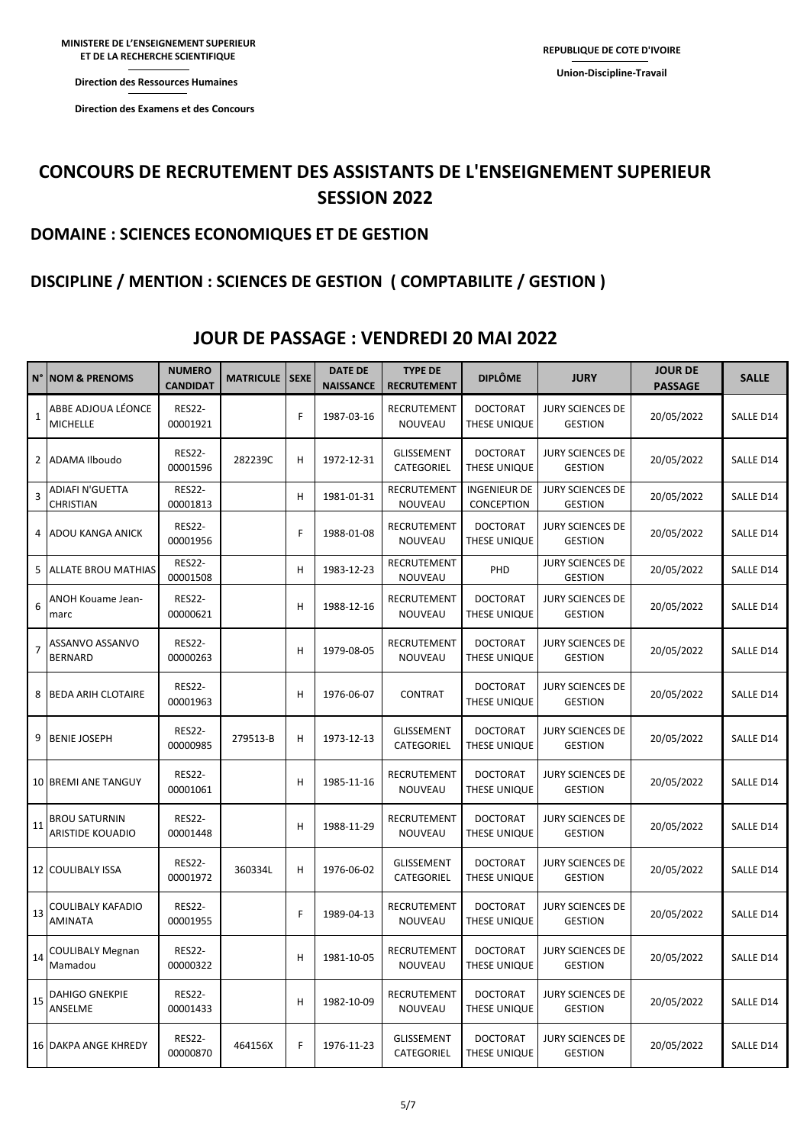**Direction des Examens et des Concours** 

## **CONCOURS DE RECRUTEMENT DES ASSISTANTS DE L'ENSEIGNEMENT SUPERIEUR SESSION 2022**

#### **DOMAINE : SCIENCES ECONOMIQUES ET DE GESTION**

### **DISCIPLINE / MENTION : SCIENCES DE GESTION ( COMPTABILITE / GESTION )**

| $N^{\circ}$    | <b>NOM &amp; PRENOMS</b>                        | <b>NUMERO</b><br><b>CANDIDAT</b> | <b>MATRICULE</b> | <b>SEXE</b> | <b>DATE DE</b><br><b>NAISSANCE</b> | <b>TYPE DE</b><br><b>RECRUTEMENT</b> | <b>DIPLÔME</b>                    | <b>JURY</b>                               | <b>JOUR DE</b><br><b>PASSAGE</b> | <b>SALLE</b> |
|----------------|-------------------------------------------------|----------------------------------|------------------|-------------|------------------------------------|--------------------------------------|-----------------------------------|-------------------------------------------|----------------------------------|--------------|
| 1              | ABBE ADJOUA LÉONCE<br>MICHELLE                  | <b>RES22-</b><br>00001921        |                  | F           | 1987-03-16                         | RECRUTEMENT<br>NOUVEAU               | <b>DOCTORAT</b><br>THESE UNIQUE   | JURY SCIENCES DE<br><b>GESTION</b>        | 20/05/2022                       | SALLE D14    |
|                | 2 ADAMA Ilboudo                                 | <b>RES22-</b><br>00001596        | 282239C          | н           | 1972-12-31                         | <b>GLISSEMENT</b><br>CATEGORIEL      | <b>DOCTORAT</b><br>THESE UNIQUE   | <b>JURY SCIENCES DE</b><br><b>GESTION</b> | 20/05/2022                       | SALLE D14    |
| 3              | ADIAFI N'GUETTA<br>CHRISTIAN                    | <b>RES22-</b><br>00001813        |                  | Н           | 1981-01-31                         | RECRUTEMENT<br>NOUVEAU               | <b>INGENIEUR DE</b><br>CONCEPTION | <b>JURY SCIENCES DE</b><br><b>GESTION</b> | 20/05/2022                       | SALLE D14    |
| 4              | ADOU KANGA ANICK                                | <b>RES22-</b><br>00001956        |                  | F           | 1988-01-08                         | RECRUTEMENT<br>NOUVEAU               | <b>DOCTORAT</b><br>THESE UNIQUE   | <b>JURY SCIENCES DE</b><br><b>GESTION</b> | 20/05/2022                       | SALLE D14    |
| 5              | <b>ALLATE BROU MATHIAS</b>                      | <b>RES22-</b><br>00001508        |                  | H           | 1983-12-23                         | RECRUTEMENT<br>NOUVEAU               | PHD                               | <b>JURY SCIENCES DE</b><br><b>GESTION</b> | 20/05/2022                       | SALLE D14    |
| 6              | ANOH Kouame Jean-<br>marc                       | <b>RES22-</b><br>00000621        |                  | H           | 1988-12-16                         | RECRUTEMENT<br>NOUVEAU               | <b>DOCTORAT</b><br>THESE UNIQUE   | <b>JURY SCIENCES DE</b><br><b>GESTION</b> | 20/05/2022                       | SALLE D14    |
| $\overline{7}$ | ASSANVO ASSANVO<br><b>BERNARD</b>               | <b>RES22-</b><br>00000263        |                  | H           | 1979-08-05                         | RECRUTEMENT<br>NOUVEAU               | <b>DOCTORAT</b><br>THESE UNIQUE   | <b>JURY SCIENCES DE</b><br><b>GESTION</b> | 20/05/2022                       | SALLE D14    |
| 8              | <b>BEDA ARIH CLOTAIRE</b>                       | <b>RES22-</b><br>00001963        |                  | Н           | 1976-06-07                         | <b>CONTRAT</b>                       | <b>DOCTORAT</b><br>THESE UNIQUE   | <b>JURY SCIENCES DE</b><br><b>GESTION</b> | 20/05/2022                       | SALLE D14    |
| 9              | <b>BENIE JOSEPH</b>                             | <b>RES22-</b><br>00000985        | 279513-B         | H           | 1973-12-13                         | <b>GLISSEMENT</b><br>CATEGORIEL      | <b>DOCTORAT</b><br>THESE UNIQUE   | <b>JURY SCIENCES DE</b><br><b>GESTION</b> | 20/05/2022                       | SALLE D14    |
|                | 10 BREMI ANE TANGUY                             | <b>RES22-</b><br>00001061        |                  | H           | 1985-11-16                         | RECRUTEMENT<br>NOUVEAU               | <b>DOCTORAT</b><br>THESE UNIQUE   | <b>JURY SCIENCES DE</b><br><b>GESTION</b> | 20/05/2022                       | SALLE D14    |
| 11             | <b>BROU SATURNIN</b><br><b>ARISTIDE KOUADIO</b> | <b>RES22-</b><br>00001448        |                  | Н           | 1988-11-29                         | RECRUTEMENT<br>NOUVEAU               | <b>DOCTORAT</b><br>THESE UNIQUE   | <b>JURY SCIENCES DE</b><br><b>GESTION</b> | 20/05/2022                       | SALLE D14    |
|                | 12 COULIBALY ISSA                               | <b>RES22-</b><br>00001972        | 360334L          | н           | 1976-06-02                         | <b>GLISSEMENT</b><br>CATEGORIEL      | <b>DOCTORAT</b><br>THESE UNIQUE   | <b>JURY SCIENCES DE</b><br><b>GESTION</b> | 20/05/2022                       | SALLE D14    |
| 13             | COULIBALY KAFADIO<br><b>AMINATA</b>             | <b>RES22-</b><br>00001955        |                  | F           | 1989-04-13                         | RECRUTEMENT<br>NOUVEAU               | <b>DOCTORAT</b><br>THESE UNIQUE   | <b>JURY SCIENCES DE</b><br><b>GESTION</b> | 20/05/2022                       | SALLE D14    |
| 14             | <b>COULIBALY Megnan</b><br>Mamadou              | <b>RES22-</b><br>00000322        |                  | H           | 1981-10-05                         | RECRUTEMENT<br>NOUVEAU               | <b>DOCTORAT</b><br>THESE UNIQUE   | <b>JURY SCIENCES DE</b><br><b>GESTION</b> | 20/05/2022                       | SALLE D14    |
| 15             | DAHIGO GNEKPIE<br>ANSELME                       | <b>RES22-</b><br>00001433        |                  | H           | 1982-10-09                         | RECRUTEMENT<br>NOUVEAU               | <b>DOCTORAT</b><br>THESE UNIQUE   | <b>JURY SCIENCES DE</b><br><b>GESTION</b> | 20/05/2022                       | SALLE D14    |
|                | <b>16 DAKPA ANGE KHREDY</b>                     | <b>RES22-</b><br>00000870        | 464156X          | F           | 1976-11-23                         | <b>GLISSEMENT</b><br>CATEGORIEL      | <b>DOCTORAT</b><br>THESE UNIQUE   | <b>JURY SCIENCES DE</b><br><b>GESTION</b> | 20/05/2022                       | SALLE D14    |

#### **JOUR DE PASSAGE : VENDREDI 20 MAI 2022**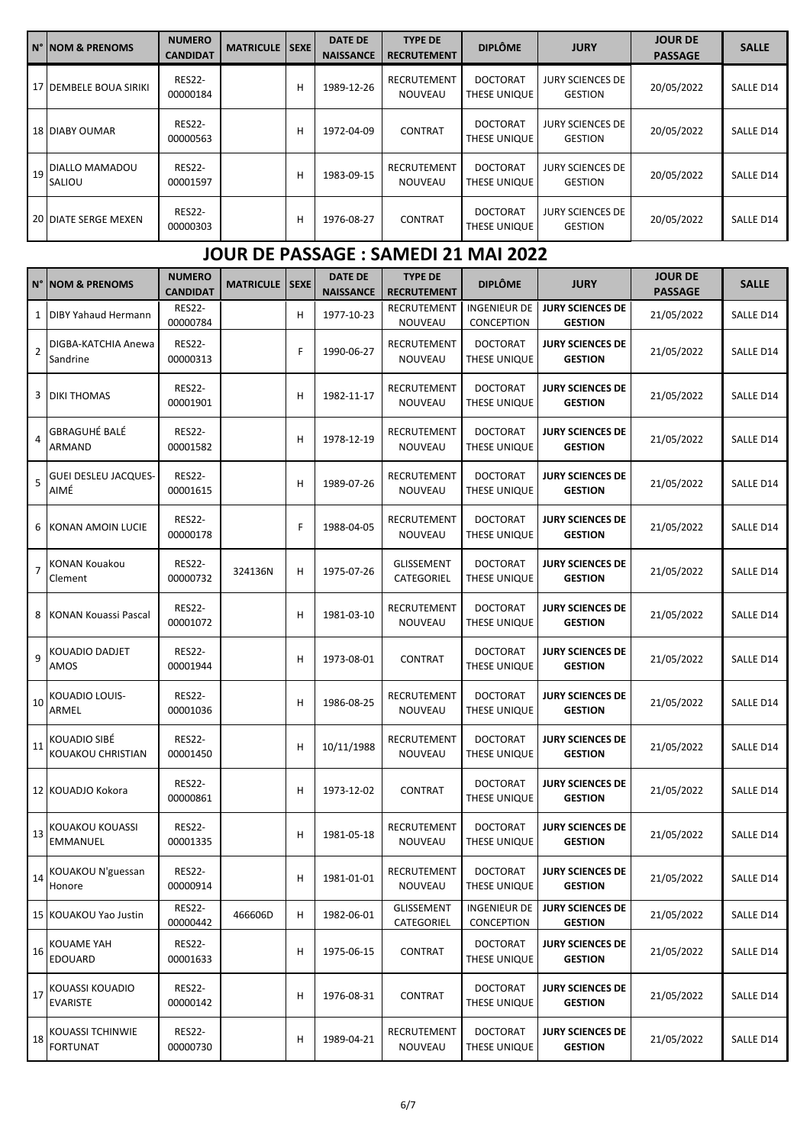| IN° INOM & PRENOMS          | <b>NUMERO</b><br><b>CANDIDAT</b> | <b>MATRICULE   SEXE  </b> |   | <b>DATE DE</b><br><b>NAISSANCE</b> | <b>TYPE DE</b><br><b>RECRUTEMENT</b> | <b>DIPLÔME</b>                  | <b>JURY</b>                               | <b>JOUR DE</b><br><b>PASSAGE</b> | <b>SALLE</b> |
|-----------------------------|----------------------------------|---------------------------|---|------------------------------------|--------------------------------------|---------------------------------|-------------------------------------------|----------------------------------|--------------|
| 17 DEMBELE BOUA SIRIKI      | <b>RES22-</b><br>00000184        |                           | н | 1989-12-26                         | <b>RECRUTEMENT</b><br><b>NOUVEAU</b> | <b>DOCTORAT</b><br>THESE UNIQUE | <b>JURY SCIENCES DE</b><br>GESTION        | 20/05/2022                       | SALLE D14    |
| <b>18 DIABY OUMAR</b>       | <b>RES22-</b><br>00000563        |                           | н | 1972-04-09                         | <b>CONTRAT</b>                       | <b>DOCTORAT</b><br>THESE UNIQUE | JURY SCIENCES DE<br><b>GESTION</b>        | 20/05/2022                       | SALLE D14    |
| 19 DIALLO MAMADOU<br>SALIOU | <b>RES22-</b><br>00001597        |                           | н | 1983-09-15                         | <b>RECRUTEMENT</b><br><b>NOUVEAU</b> | <b>DOCTORAT</b><br>THESE UNIQUE | <b>JURY SCIENCES DE</b><br><b>GESTION</b> | 20/05/2022                       | SALLE D14    |
| 20 DIATE SERGE MEXEN        | <b>RES22-</b><br>00000303        |                           | н | 1976-08-27                         | <b>CONTRAT</b>                       | <b>DOCTORAT</b><br>THESE UNIQUE | JURY SCIENCES DE<br><b>GESTION</b>        | 20/05/2022                       | SALLE D14    |

## **JOUR DE PASSAGE : SAMEDI 21 MAI 2022**

|              | <b>N° NOM &amp; PRENOMS</b>         | <b>NUMERO</b><br><b>CANDIDAT</b> | <b>MATRICULE</b> | <b>SEXE</b> | <b>DATE DE</b><br><b>NAISSANCE</b> | <b>TYPE DE</b><br><b>RECRUTEMENT</b> | <b>DIPLÔME</b>                    | <b>JURY</b>                               | <b>JOUR DE</b><br><b>PASSAGE</b> | <b>SALLE</b> |
|--------------|-------------------------------------|----------------------------------|------------------|-------------|------------------------------------|--------------------------------------|-----------------------------------|-------------------------------------------|----------------------------------|--------------|
| $\mathbf{1}$ | DIBY Yahaud Hermann                 | <b>RES22-</b><br>00000784        |                  | H           | 1977-10-23                         | RECRUTEMENT<br>NOUVEAU               | <b>INGENIEUR DE</b><br>CONCEPTION | <b>JURY SCIENCES DE</b><br><b>GESTION</b> | 21/05/2022                       | SALLE D14    |
| 2            | DIGBA-KATCHIA Anewa<br>Sandrine     | <b>RES22-</b><br>00000313        |                  | F           | 1990-06-27                         | RECRUTEMENT<br>NOUVEAU               | <b>DOCTORAT</b><br>THESE UNIQUE   | <b>JURY SCIENCES DE</b><br><b>GESTION</b> | 21/05/2022                       | SALLE D14    |
|              | 3   DIKI THOMAS                     | <b>RES22-</b><br>00001901        |                  | н           | 1982-11-17                         | RECRUTEMENT<br>NOUVEAU               | <b>DOCTORAT</b><br>THESE UNIQUE   | <b>JURY SCIENCES DE</b><br><b>GESTION</b> | 21/05/2022                       | SALLE D14    |
| 4            | <b>GBRAGUHÉ BALÉ</b><br>ARMAND      | <b>RES22-</b><br>00001582        |                  | н           | 1978-12-19                         | RECRUTEMENT<br>NOUVEAU               | <b>DOCTORAT</b><br>THESE UNIQUE   | <b>JURY SCIENCES DE</b><br><b>GESTION</b> | 21/05/2022                       | SALLE D14    |
| 5            | <b>GUEI DESLEU JACQUES-</b><br>AIMÉ | <b>RES22-</b><br>00001615        |                  | н           | 1989-07-26                         | RECRUTEMENT<br>NOUVEAU               | <b>DOCTORAT</b><br>THESE UNIQUE   | <b>JURY SCIENCES DE</b><br><b>GESTION</b> | 21/05/2022                       | SALLE D14    |
| 6            | KONAN AMOIN LUCIE                   | <b>RES22-</b><br>00000178        |                  | F           | 1988-04-05                         | RECRUTEMENT<br>NOUVEAU               | <b>DOCTORAT</b><br>THESE UNIQUE   | <b>JURY SCIENCES DE</b><br><b>GESTION</b> | 21/05/2022                       | SALLE D14    |
| 7            | <b>KONAN Kouakou</b><br>Clement     | <b>RES22-</b><br>00000732        | 324136N          | н           | 1975-07-26                         | GLISSEMENT<br>CATEGORIEL             | <b>DOCTORAT</b><br>THESE UNIQUE   | <b>JURY SCIENCES DE</b><br><b>GESTION</b> | 21/05/2022                       | SALLE D14    |
|              | 8 KONAN Kouassi Pascal              | <b>RES22-</b><br>00001072        |                  | н           | 1981-03-10                         | RECRUTEMENT<br>NOUVEAU               | <b>DOCTORAT</b><br>THESE UNIQUE   | <b>JURY SCIENCES DE</b><br><b>GESTION</b> | 21/05/2022                       | SALLE D14    |
| 9            | KOUADIO DADJET<br>AMOS              | <b>RES22-</b><br>00001944        |                  | н           | 1973-08-01                         | <b>CONTRAT</b>                       | <b>DOCTORAT</b><br>THESE UNIQUE   | <b>JURY SCIENCES DE</b><br><b>GESTION</b> | 21/05/2022                       | SALLE D14    |
| 10           | KOUADIO LOUIS-<br>ARMEL             | <b>RES22-</b><br>00001036        |                  | н           | 1986-08-25                         | RECRUTEMENT<br>NOUVEAU               | <b>DOCTORAT</b><br>THESE UNIQUE   | <b>JURY SCIENCES DE</b><br><b>GESTION</b> | 21/05/2022                       | SALLE D14    |
| 11           | KOUADIO SIBE<br>KOUAKOU CHRISTIAN   | <b>RES22-</b><br>00001450        |                  | н           | 10/11/1988                         | RECRUTEMENT<br>NOUVEAU               | <b>DOCTORAT</b><br>THESE UNIQUE   | <b>JURY SCIENCES DE</b><br><b>GESTION</b> | 21/05/2022                       | SALLE D14    |
|              | 12 KOUADJO Kokora                   | <b>RES22-</b><br>00000861        |                  | н           | 1973-12-02                         | <b>CONTRAT</b>                       | <b>DOCTORAT</b><br>THESE UNIQUE   | <b>JURY SCIENCES DE</b><br><b>GESTION</b> | 21/05/2022                       | SALLE D14    |
| 13           | KOUAKOU KOUASSI<br><b>EMMANUEL</b>  | <b>RES22-</b><br>00001335        |                  | н           | 1981-05-18                         | RECRUTEMENT<br>NOUVEAU               | <b>DOCTORAT</b><br>THESE UNIQUE   | <b>JURY SCIENCES DE</b><br><b>GESTION</b> | 21/05/2022                       | SALLE D14    |
| 14           | KOUAKOU N'guessan<br>Honore         | <b>RES22-</b><br>00000914        |                  | н           | 1981-01-01                         | RECRUTEMENT<br>NOUVEAU               | <b>DOCTORAT</b><br>THESE UNIQUE   | <b>JURY SCIENCES DE</b><br><b>GESTION</b> | 21/05/2022                       | SALLE D14    |
|              | 15 KOUAKOU Yao Justin               | <b>RES22-</b><br>00000442        | 466606D          | н           | 1982-06-01                         | <b>GLISSEMENT</b><br>CATEGORIEL      | <b>INGENIEUR DE</b><br>CONCEPTION | <b>JURY SCIENCES DE</b><br><b>GESTION</b> | 21/05/2022                       | SALLE D14    |
| 16           | KOUAME YAH<br><b>EDOUARD</b>        | <b>RES22-</b><br>00001633        |                  | н           | 1975-06-15                         | <b>CONTRAT</b>                       | <b>DOCTORAT</b><br>THESE UNIQUE   | <b>JURY SCIENCES DE</b><br><b>GESTION</b> | 21/05/2022                       | SALLE D14    |
| 17           | KOUASSI KOUADIO<br><b>EVARISTE</b>  | <b>RES22-</b><br>00000142        |                  | н           | 1976-08-31                         | <b>CONTRAT</b>                       | <b>DOCTORAT</b><br>THESE UNIQUE   | <b>JURY SCIENCES DE</b><br><b>GESTION</b> | 21/05/2022                       | SALLE D14    |
| 18           | KOUASSI TCHINWIE<br><b>FORTUNAT</b> | <b>RES22-</b><br>00000730        |                  | н           | 1989-04-21                         | RECRUTEMENT<br>NOUVEAU               | <b>DOCTORAT</b><br>THESE UNIQUE   | <b>JURY SCIENCES DE</b><br><b>GESTION</b> | 21/05/2022                       | SALLE D14    |